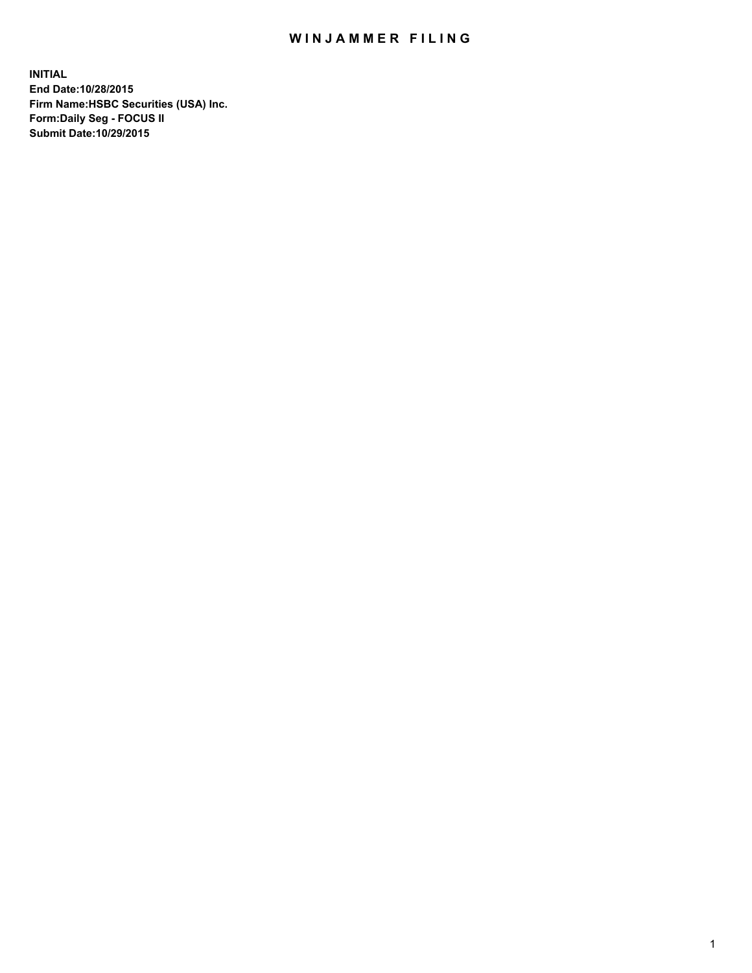## WIN JAMMER FILING

**INITIAL End Date:10/28/2015 Firm Name:HSBC Securities (USA) Inc. Form:Daily Seg - FOCUS II Submit Date:10/29/2015**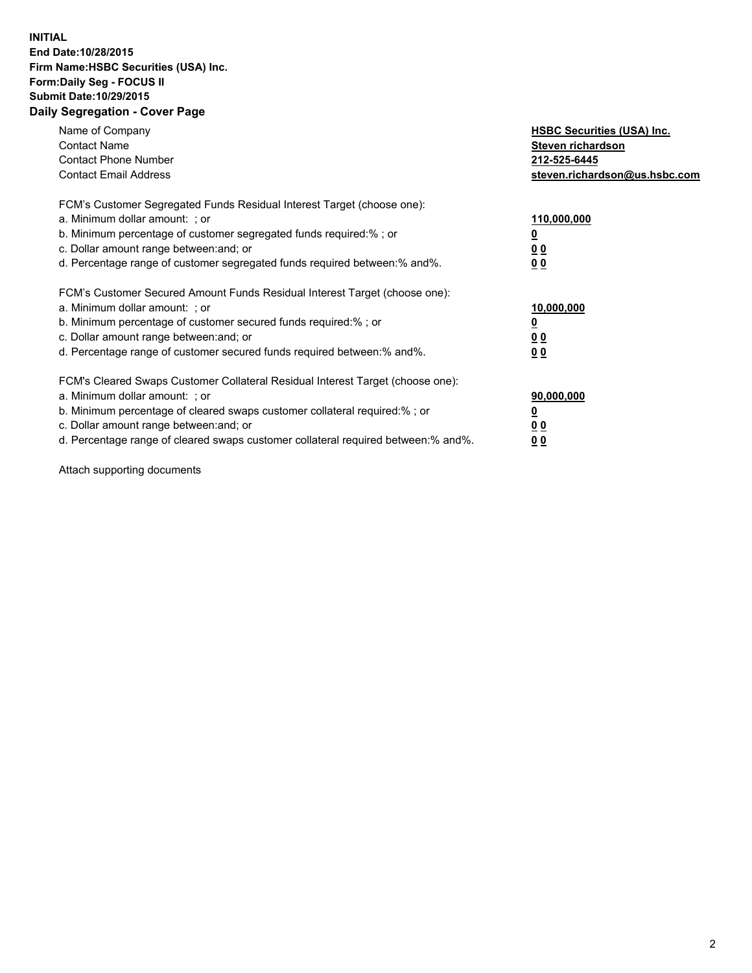## **INITIAL End Date:10/28/2015 Firm Name:HSBC Securities (USA) Inc. Form:Daily Seg - FOCUS II Submit Date:10/29/2015 Daily Segregation - Cover Page**

| Name of Company<br><b>Contact Name</b><br><b>Contact Phone Number</b><br><b>Contact Email Address</b>                                                                                                                                                                                                                         | <b>HSBC Securities (USA) Inc.</b><br>Steven richardson<br>212-525-6445<br>steven.richardson@us.hsbc.com |
|-------------------------------------------------------------------------------------------------------------------------------------------------------------------------------------------------------------------------------------------------------------------------------------------------------------------------------|---------------------------------------------------------------------------------------------------------|
| FCM's Customer Segregated Funds Residual Interest Target (choose one):<br>a. Minimum dollar amount: ; or<br>b. Minimum percentage of customer segregated funds required: % ; or<br>c. Dollar amount range between: and; or<br>d. Percentage range of customer segregated funds required between:% and%.                       | 110,000,000<br><u>0</u><br>0 <sub>0</sub><br>0 <sub>0</sub>                                             |
| FCM's Customer Secured Amount Funds Residual Interest Target (choose one):<br>a. Minimum dollar amount: ; or<br>b. Minimum percentage of customer secured funds required:%; or<br>c. Dollar amount range between: and; or<br>d. Percentage range of customer secured funds required between:% and%.                           | 10,000,000<br><u>0</u><br>0 <sub>0</sub><br>0 <sub>0</sub>                                              |
| FCM's Cleared Swaps Customer Collateral Residual Interest Target (choose one):<br>a. Minimum dollar amount: ; or<br>b. Minimum percentage of cleared swaps customer collateral required:%; or<br>c. Dollar amount range between: and; or<br>d. Percentage range of cleared swaps customer collateral required between:% and%. | 90,000,000<br><u>0</u><br>0 <sub>0</sub><br>0 <sub>0</sub>                                              |

Attach supporting documents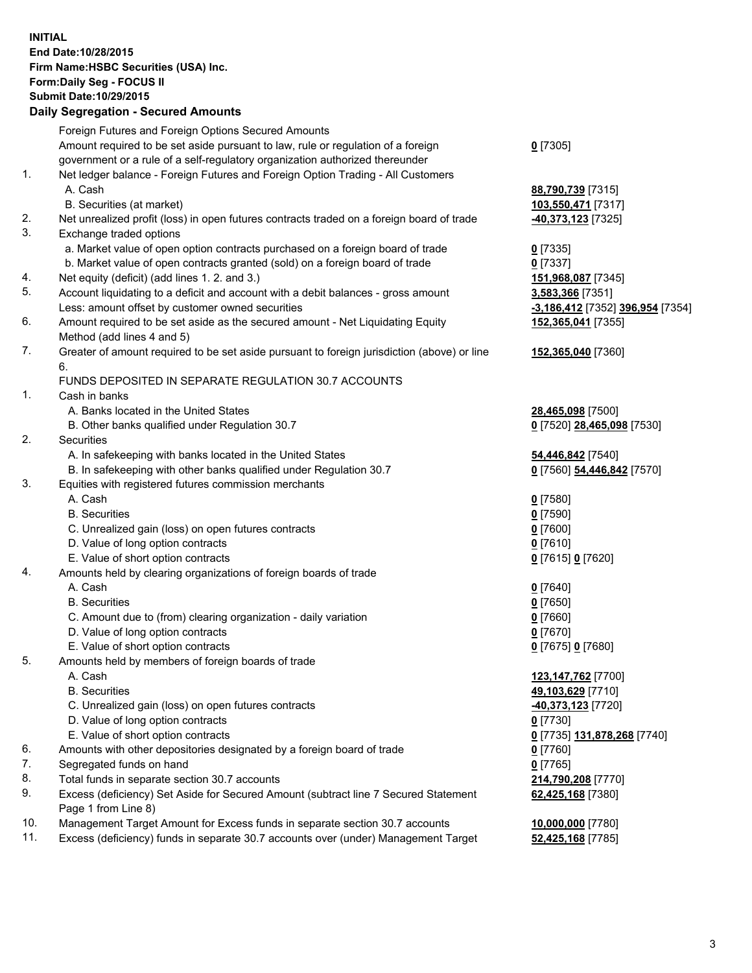**INITIAL End Date:10/28/2015 Firm Name:HSBC Securities (USA) Inc. Form:Daily Seg - FOCUS II Submit Date:10/29/2015**

## **Daily Segregation - Secured Amounts**

|     | Foreign Futures and Foreign Options Secured Amounts                                         |                                                 |
|-----|---------------------------------------------------------------------------------------------|-------------------------------------------------|
|     | Amount required to be set aside pursuant to law, rule or regulation of a foreign            | $0$ [7305]                                      |
|     | government or a rule of a self-regulatory organization authorized thereunder                |                                                 |
| 1.  | Net ledger balance - Foreign Futures and Foreign Option Trading - All Customers             |                                                 |
|     | A. Cash                                                                                     | 88,790,739 [7315]                               |
|     | B. Securities (at market)                                                                   | 103,550,471 [7317]                              |
| 2.  | Net unrealized profit (loss) in open futures contracts traded on a foreign board of trade   | -40,373,123 [7325]                              |
| 3.  | Exchange traded options                                                                     |                                                 |
|     | a. Market value of open option contracts purchased on a foreign board of trade              | $0$ [7335]                                      |
|     | b. Market value of open contracts granted (sold) on a foreign board of trade                | $0$ [7337]                                      |
| 4.  | Net equity (deficit) (add lines 1.2. and 3.)                                                | 151,968,087 [7345]                              |
| 5.  | Account liquidating to a deficit and account with a debit balances - gross amount           | 3,583,366 [7351]                                |
|     | Less: amount offset by customer owned securities                                            | -3,186,412 [7352] 396,954 [7354]                |
| 6.  | Amount required to be set aside as the secured amount - Net Liquidating Equity              | 152,365,041 [7355]                              |
| 7.  | Method (add lines 4 and 5)                                                                  |                                                 |
|     | Greater of amount required to be set aside pursuant to foreign jurisdiction (above) or line | 152,365,040 [7360]                              |
|     | 6.<br>FUNDS DEPOSITED IN SEPARATE REGULATION 30.7 ACCOUNTS                                  |                                                 |
| 1.  | Cash in banks                                                                               |                                                 |
|     | A. Banks located in the United States                                                       |                                                 |
|     | B. Other banks qualified under Regulation 30.7                                              | 28,465,098 [7500]<br>0 [7520] 28,465,098 [7530] |
| 2.  | Securities                                                                                  |                                                 |
|     | A. In safekeeping with banks located in the United States                                   | 54,446,842 [7540]                               |
|     | B. In safekeeping with other banks qualified under Regulation 30.7                          | 0 [7560] 54,446,842 [7570]                      |
| 3.  | Equities with registered futures commission merchants                                       |                                                 |
|     | A. Cash                                                                                     | $0$ [7580]                                      |
|     | <b>B.</b> Securities                                                                        | $0$ [7590]                                      |
|     | C. Unrealized gain (loss) on open futures contracts                                         | $0$ [7600]                                      |
|     | D. Value of long option contracts                                                           | $0$ [7610]                                      |
|     | E. Value of short option contracts                                                          | 0 [7615] 0 [7620]                               |
| 4.  | Amounts held by clearing organizations of foreign boards of trade                           |                                                 |
|     | A. Cash                                                                                     | $0$ [7640]                                      |
|     | <b>B.</b> Securities                                                                        | <u>0</u> [7650]                                 |
|     | C. Amount due to (from) clearing organization - daily variation                             | $0$ [7660]                                      |
|     | D. Value of long option contracts                                                           | $0$ [7670]                                      |
|     | E. Value of short option contracts                                                          | 0 [7675] 0 [7680]                               |
| 5.  | Amounts held by members of foreign boards of trade                                          |                                                 |
|     | A. Cash                                                                                     | 123,147,762 [7700]                              |
|     | <b>B.</b> Securities                                                                        | 49,103,629 [7710]                               |
|     | C. Unrealized gain (loss) on open futures contracts                                         | 40,373,123 [7720]                               |
|     | D. Value of long option contracts                                                           | 0 [7730]                                        |
|     | E. Value of short option contracts                                                          | 0 [7735] 131,878,268 [7740]                     |
| 6.  | Amounts with other depositories designated by a foreign board of trade                      | $0$ [7760]                                      |
| 7.  | Segregated funds on hand                                                                    | $0$ [7765]                                      |
| 8.  | Total funds in separate section 30.7 accounts                                               | 214,790,208 [7770]                              |
| 9.  | Excess (deficiency) Set Aside for Secured Amount (subtract line 7 Secured Statement         | 62,425,168 [7380]                               |
|     | Page 1 from Line 8)                                                                         |                                                 |
| 10. | Management Target Amount for Excess funds in separate section 30.7 accounts                 | 10,000,000 [7780]                               |
| 11. | Excess (deficiency) funds in separate 30.7 accounts over (under) Management Target          | 52,425,168 [7785]                               |
|     |                                                                                             |                                                 |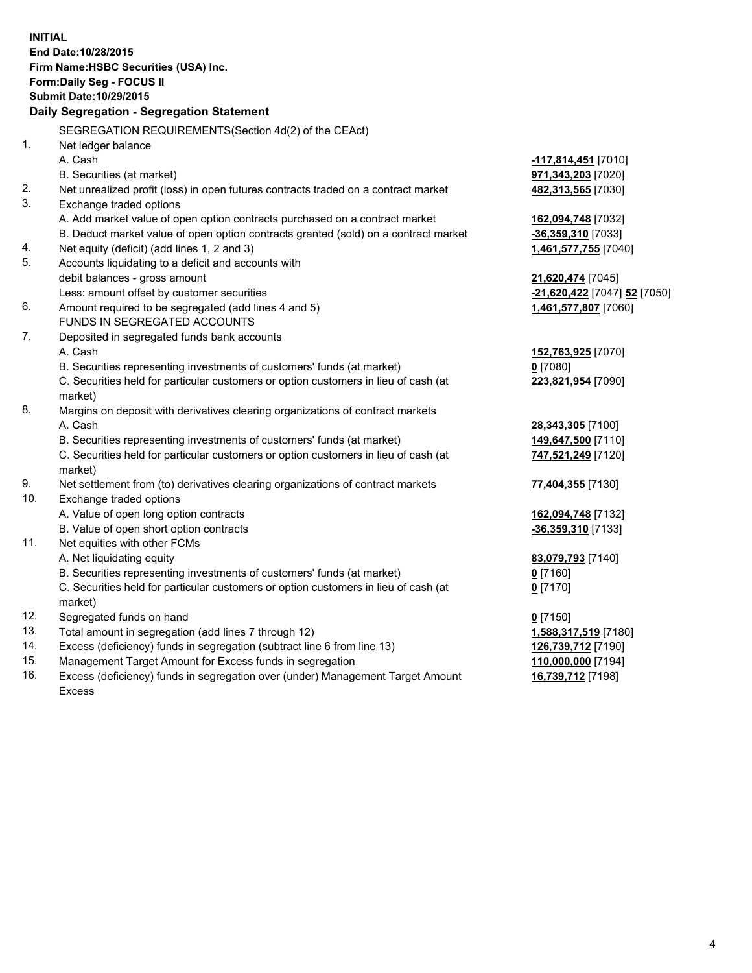|     | <b>INITIAL</b><br>End Date: 10/28/2015<br>Firm Name: HSBC Securities (USA) Inc.                |                              |
|-----|------------------------------------------------------------------------------------------------|------------------------------|
|     | Form: Daily Seg - FOCUS II                                                                     |                              |
|     | <b>Submit Date: 10/29/2015</b>                                                                 |                              |
|     | Daily Segregation - Segregation Statement                                                      |                              |
|     | SEGREGATION REQUIREMENTS(Section 4d(2) of the CEAct)                                           |                              |
| 1.  | Net ledger balance                                                                             |                              |
|     | A. Cash                                                                                        | -117,814,451 [7010]          |
|     | B. Securities (at market)                                                                      | 971,343,203 [7020]           |
| 2.  | Net unrealized profit (loss) in open futures contracts traded on a contract market             | 482,313,565 [7030]           |
| 3.  | Exchange traded options                                                                        |                              |
|     | A. Add market value of open option contracts purchased on a contract market                    | 162,094,748 [7032]           |
|     | B. Deduct market value of open option contracts granted (sold) on a contract market            | $-36,359,310$ [7033]         |
| 4.  | Net equity (deficit) (add lines 1, 2 and 3)                                                    | 1,461,577,755 [7040]         |
| 5.  | Accounts liquidating to a deficit and accounts with                                            |                              |
|     | debit balances - gross amount                                                                  | 21,620,474 [7045]            |
|     | Less: amount offset by customer securities                                                     | -21,620,422 [7047] 52 [7050] |
| 6.  | Amount required to be segregated (add lines 4 and 5)                                           | 1,461,577,807 [7060]         |
|     | FUNDS IN SEGREGATED ACCOUNTS                                                                   |                              |
| 7.  | Deposited in segregated funds bank accounts                                                    |                              |
|     | A. Cash                                                                                        | 152,763,925 [7070]           |
|     | B. Securities representing investments of customers' funds (at market)                         | $0$ [7080]                   |
|     | C. Securities held for particular customers or option customers in lieu of cash (at            | 223,821,954 [7090]           |
|     | market)                                                                                        |                              |
| 8.  | Margins on deposit with derivatives clearing organizations of contract markets                 |                              |
|     | A. Cash                                                                                        | 28,343,305 [7100]            |
|     | B. Securities representing investments of customers' funds (at market)                         | 149,647,500 [7110]           |
|     | C. Securities held for particular customers or option customers in lieu of cash (at<br>market) | 747,521,249 [7120]           |
| 9.  | Net settlement from (to) derivatives clearing organizations of contract markets                | 77,404,355 [7130]            |
| 10. | Exchange traded options                                                                        |                              |
|     | A. Value of open long option contracts                                                         | 162,094,748 [7132]           |
|     | B. Value of open short option contracts                                                        | -36,359,310 [7133]           |
| 11. | Net equities with other FCMs                                                                   |                              |
|     | A. Net liquidating equity                                                                      | 83,079,793 [7140]            |
|     | B. Securities representing investments of customers' funds (at market)                         | $0$ [7160]                   |
|     | C. Securities held for particular customers or option customers in lieu of cash (at<br>market) | $0$ [7170]                   |
| 12. | Segregated funds on hand                                                                       | $0$ [7150]                   |
| 13. | Total amount in segregation (add lines 7 through 12)                                           | 1,588,317,519 [7180]         |
| 14. | Excess (deficiency) funds in segregation (subtract line 6 from line 13)                        | 126,739,712 [7190]           |
| 15. | Management Target Amount for Excess funds in segregation                                       | 110,000,000 [7194]           |
| 16. | Excess (deficiency) funds in segregation over (under) Management Target Amount                 | 16,739,712 [7198]            |

Excess